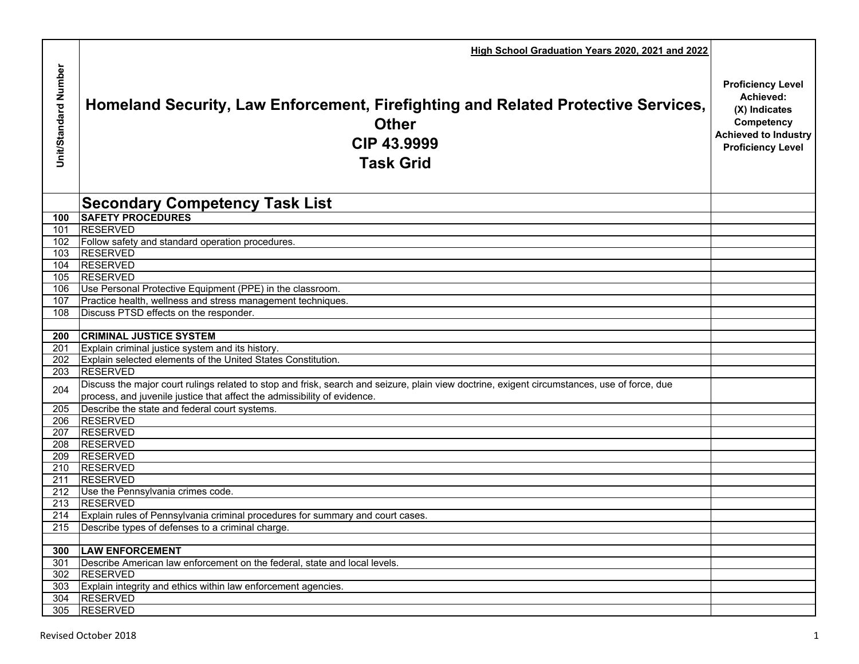|                      | High School Graduation Years 2020, 2021 and 2022                                                                                                                                                                         |                                                                                                                                 |
|----------------------|--------------------------------------------------------------------------------------------------------------------------------------------------------------------------------------------------------------------------|---------------------------------------------------------------------------------------------------------------------------------|
| Unit/Standard Number | Homeland Security, Law Enforcement, Firefighting and Related Protective Services,<br><b>Other</b><br>CIP 43,9999<br><b>Task Grid</b>                                                                                     | <b>Proficiency Level</b><br>Achieved:<br>(X) Indicates<br>Competency<br><b>Achieved to Industry</b><br><b>Proficiency Level</b> |
|                      | <b>Secondary Competency Task List</b>                                                                                                                                                                                    |                                                                                                                                 |
| 100                  | <b>SAFETY PROCEDURES</b>                                                                                                                                                                                                 |                                                                                                                                 |
| 101                  | <b>RESERVED</b>                                                                                                                                                                                                          |                                                                                                                                 |
|                      | 102 Follow safety and standard operation procedures.                                                                                                                                                                     |                                                                                                                                 |
| 103                  | <b>RESERVED</b>                                                                                                                                                                                                          |                                                                                                                                 |
| 104                  | <b>RESERVED</b>                                                                                                                                                                                                          |                                                                                                                                 |
| 105                  | <b>RESERVED</b>                                                                                                                                                                                                          |                                                                                                                                 |
| 106<br>107           | Use Personal Protective Equipment (PPE) in the classroom.<br>Practice health, wellness and stress management techniques.                                                                                                 |                                                                                                                                 |
| 108                  | Discuss PTSD effects on the responder.                                                                                                                                                                                   |                                                                                                                                 |
|                      |                                                                                                                                                                                                                          |                                                                                                                                 |
| 200                  | <b>CRIMINAL JUSTICE SYSTEM</b>                                                                                                                                                                                           |                                                                                                                                 |
| 201                  | Explain criminal justice system and its history.                                                                                                                                                                         |                                                                                                                                 |
| 202                  | Explain selected elements of the United States Constitution.                                                                                                                                                             |                                                                                                                                 |
| 203                  | <b>RESERVED</b>                                                                                                                                                                                                          |                                                                                                                                 |
| 204                  | Discuss the major court rulings related to stop and frisk, search and seizure, plain view doctrine, exigent circumstances, use of force, due<br>process, and juvenile justice that affect the admissibility of evidence. |                                                                                                                                 |
| 205                  | Describe the state and federal court systems.                                                                                                                                                                            |                                                                                                                                 |
| 206                  | <b>RESERVED</b>                                                                                                                                                                                                          |                                                                                                                                 |
| 207                  | <b>RESERVED</b>                                                                                                                                                                                                          |                                                                                                                                 |
| 208                  | <b>RESERVED</b>                                                                                                                                                                                                          |                                                                                                                                 |
| 209                  | <b>RESERVED</b>                                                                                                                                                                                                          |                                                                                                                                 |
|                      | 210 RESERVED                                                                                                                                                                                                             |                                                                                                                                 |
| 211                  | <b>RESERVED</b>                                                                                                                                                                                                          |                                                                                                                                 |
| 213                  | 212 Use the Pennsylvania crimes code.<br>RESERVED                                                                                                                                                                        |                                                                                                                                 |
|                      | 214 Explain rules of Pennsylvania criminal procedures for summary and court cases.                                                                                                                                       |                                                                                                                                 |
|                      | 215 Describe types of defenses to a criminal charge.                                                                                                                                                                     |                                                                                                                                 |
|                      |                                                                                                                                                                                                                          |                                                                                                                                 |
| 300                  | <b>LAW ENFORCEMENT</b>                                                                                                                                                                                                   |                                                                                                                                 |
| 301                  | Describe American law enforcement on the federal, state and local levels.                                                                                                                                                |                                                                                                                                 |
| 302                  | <b>RESERVED</b>                                                                                                                                                                                                          |                                                                                                                                 |
|                      | 303 Explain integrity and ethics within law enforcement agencies.                                                                                                                                                        |                                                                                                                                 |
|                      | 304 RESERVED                                                                                                                                                                                                             |                                                                                                                                 |
|                      | 305 RESERVED                                                                                                                                                                                                             |                                                                                                                                 |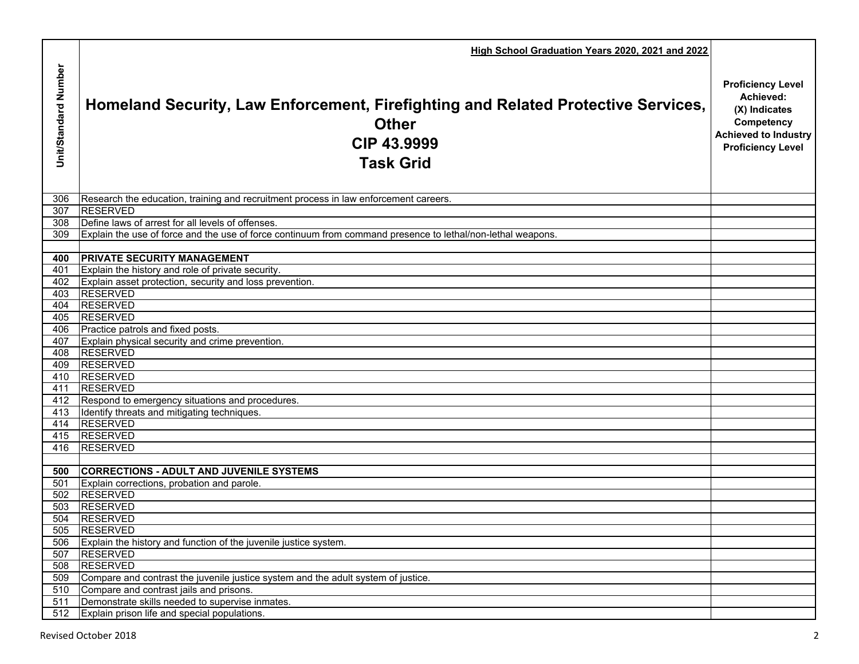|                      | High School Graduation Years 2020, 2021 and 2022                                                                                     |                                                                                                                                 |
|----------------------|--------------------------------------------------------------------------------------------------------------------------------------|---------------------------------------------------------------------------------------------------------------------------------|
| Unit/Standard Number | Homeland Security, Law Enforcement, Firefighting and Related Protective Services,<br><b>Other</b><br>CIP 43,9999<br><b>Task Grid</b> | <b>Proficiency Level</b><br>Achieved:<br>(X) Indicates<br>Competency<br><b>Achieved to Industry</b><br><b>Proficiency Level</b> |
| 306                  | Research the education, training and recruitment process in law enforcement careers.                                                 |                                                                                                                                 |
| 307                  | <b>RESERVED</b>                                                                                                                      |                                                                                                                                 |
| 308                  | Define laws of arrest for all levels of offenses.                                                                                    |                                                                                                                                 |
| 309                  | Explain the use of force and the use of force continuum from command presence to lethal/non-lethal weapons.                          |                                                                                                                                 |
|                      |                                                                                                                                      |                                                                                                                                 |
| 400                  | <b>PRIVATE SECURITY MANAGEMENT</b>                                                                                                   |                                                                                                                                 |
| 401                  | Explain the history and role of private security.                                                                                    |                                                                                                                                 |
| 402                  | Explain asset protection, security and loss prevention.                                                                              |                                                                                                                                 |
| 403                  | <b>RESERVED</b>                                                                                                                      |                                                                                                                                 |
| 404                  | <b>RESERVED</b>                                                                                                                      |                                                                                                                                 |
| 405                  | <b>RESERVED</b>                                                                                                                      |                                                                                                                                 |
| 406                  | Practice patrols and fixed posts.                                                                                                    |                                                                                                                                 |
| 407                  | Explain physical security and crime prevention.                                                                                      |                                                                                                                                 |
| 408                  | <b>RESERVED</b>                                                                                                                      |                                                                                                                                 |
| 409<br>410           | <b>RESERVED</b><br><b>RESERVED</b>                                                                                                   |                                                                                                                                 |
| 411                  | <b>RESERVED</b>                                                                                                                      |                                                                                                                                 |
| 412                  | Respond to emergency situations and procedures.                                                                                      |                                                                                                                                 |
| 413                  | Identify threats and mitigating techniques.                                                                                          |                                                                                                                                 |
| 414                  | <b>RESERVED</b>                                                                                                                      |                                                                                                                                 |
| 415                  | <b>RESERVED</b>                                                                                                                      |                                                                                                                                 |
| 416                  | <b>RESERVED</b>                                                                                                                      |                                                                                                                                 |
|                      |                                                                                                                                      |                                                                                                                                 |
| 500                  | <b>CORRECTIONS - ADULT AND JUVENILE SYSTEMS</b>                                                                                      |                                                                                                                                 |
| 501                  | Explain corrections, probation and parole.                                                                                           |                                                                                                                                 |
| 502                  | <b>RESERVED</b>                                                                                                                      |                                                                                                                                 |
| 503                  | <b>RESERVED</b>                                                                                                                      |                                                                                                                                 |
| 504                  | <b>RESERVED</b>                                                                                                                      |                                                                                                                                 |
| 505                  | <b>RESERVED</b>                                                                                                                      |                                                                                                                                 |
| 506                  | Explain the history and function of the juvenile justice system.                                                                     |                                                                                                                                 |
| 507                  | <b>RESERVED</b>                                                                                                                      |                                                                                                                                 |
| 508                  | <b>RESERVED</b>                                                                                                                      |                                                                                                                                 |
| 509                  | Compare and contrast the juvenile justice system and the adult system of justice.                                                    |                                                                                                                                 |
| 510                  | Compare and contrast jails and prisons.                                                                                              |                                                                                                                                 |
| 511                  | Demonstrate skills needed to supervise inmates.                                                                                      |                                                                                                                                 |
| 512                  | Explain prison life and special populations.                                                                                         |                                                                                                                                 |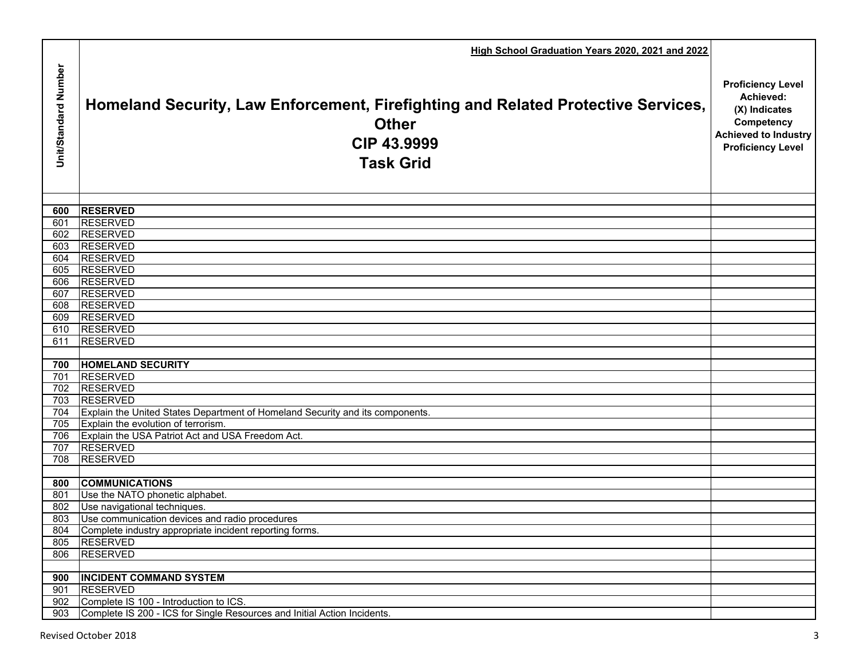|                      | High School Graduation Years 2020, 2021 and 2022                                                                                     |                                                                                                                                 |
|----------------------|--------------------------------------------------------------------------------------------------------------------------------------|---------------------------------------------------------------------------------------------------------------------------------|
| Unit/Standard Number | Homeland Security, Law Enforcement, Firefighting and Related Protective Services,<br><b>Other</b><br>CIP 43.9999<br><b>Task Grid</b> | <b>Proficiency Level</b><br>Achieved:<br>(X) Indicates<br>Competency<br><b>Achieved to Industry</b><br><b>Proficiency Level</b> |
|                      |                                                                                                                                      |                                                                                                                                 |
| 600                  | <b>RESERVED</b><br><b>RESERVED</b>                                                                                                   |                                                                                                                                 |
| 601<br>602           | <b>RESERVED</b>                                                                                                                      |                                                                                                                                 |
| 603                  | <b>RESERVED</b>                                                                                                                      |                                                                                                                                 |
| 604                  | <b>RESERVED</b>                                                                                                                      |                                                                                                                                 |
| 605                  | <b>RESERVED</b>                                                                                                                      |                                                                                                                                 |
| 606                  | <b>RESERVED</b>                                                                                                                      |                                                                                                                                 |
| 607                  | <b>RESERVED</b>                                                                                                                      |                                                                                                                                 |
| 608                  | <b>RESERVED</b>                                                                                                                      |                                                                                                                                 |
| 609                  | RESERVED                                                                                                                             |                                                                                                                                 |
| 610                  | <b>RESERVED</b>                                                                                                                      |                                                                                                                                 |
| 611                  | <b>RESERVED</b>                                                                                                                      |                                                                                                                                 |
|                      |                                                                                                                                      |                                                                                                                                 |
| 700                  | <b>HOMELAND SECURITY</b>                                                                                                             |                                                                                                                                 |
| 701                  | <b>RESERVED</b>                                                                                                                      |                                                                                                                                 |
| 702                  | <b>RESERVED</b>                                                                                                                      |                                                                                                                                 |
| 703                  | <b>RESERVED</b>                                                                                                                      |                                                                                                                                 |
| 704                  | Explain the United States Department of Homeland Security and its components.                                                        |                                                                                                                                 |
| 705                  | Explain the evolution of terrorism.                                                                                                  |                                                                                                                                 |
| 706                  | Explain the USA Patriot Act and USA Freedom Act.<br><b>RESERVED</b>                                                                  |                                                                                                                                 |
| 707<br>708           | <b>RESERVED</b>                                                                                                                      |                                                                                                                                 |
|                      |                                                                                                                                      |                                                                                                                                 |
| 800                  | <b>COMMUNICATIONS</b>                                                                                                                |                                                                                                                                 |
| 801                  | Use the NATO phonetic alphabet.                                                                                                      |                                                                                                                                 |
| 802                  | Use navigational techniques.                                                                                                         |                                                                                                                                 |
| 803                  | Use communication devices and radio procedures                                                                                       |                                                                                                                                 |
| 804                  | Complete industry appropriate incident reporting forms.                                                                              |                                                                                                                                 |
| 805                  | <b>RESERVED</b>                                                                                                                      |                                                                                                                                 |
| 806                  | <b>RESERVED</b>                                                                                                                      |                                                                                                                                 |
|                      |                                                                                                                                      |                                                                                                                                 |
| 900                  | <b>INCIDENT COMMAND SYSTEM</b>                                                                                                       |                                                                                                                                 |
| 901                  | <b>RESERVED</b>                                                                                                                      |                                                                                                                                 |
| 902                  | Complete IS 100 - Introduction to ICS.                                                                                               |                                                                                                                                 |
| 903                  | Complete IS 200 - ICS for Single Resources and Initial Action Incidents.                                                             |                                                                                                                                 |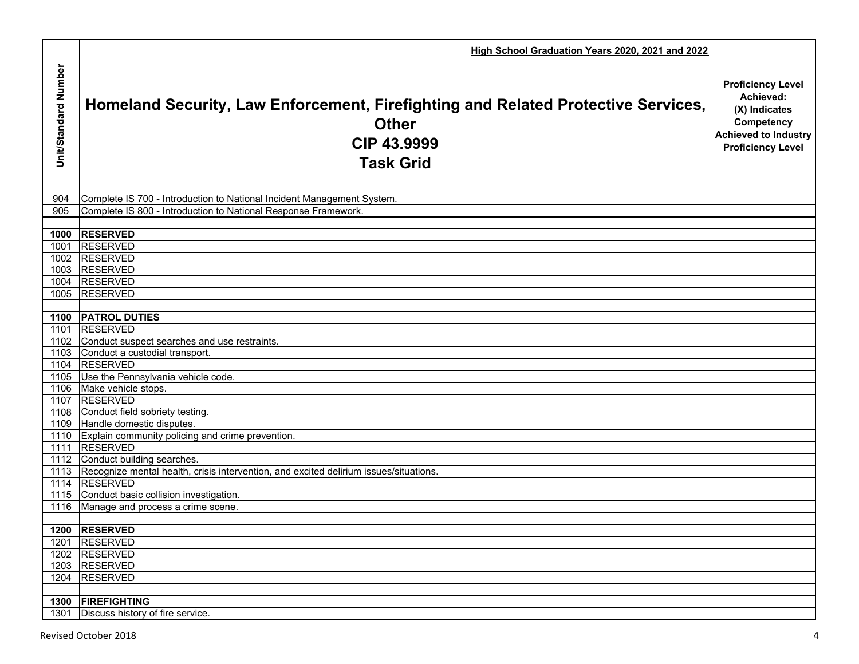|                      | High School Graduation Years 2020, 2021 and 2022                                                                                     |                                                                                                                                 |
|----------------------|--------------------------------------------------------------------------------------------------------------------------------------|---------------------------------------------------------------------------------------------------------------------------------|
| Unit/Standard Number | Homeland Security, Law Enforcement, Firefighting and Related Protective Services,<br><b>Other</b><br>CIP 43.9999<br><b>Task Grid</b> | <b>Proficiency Level</b><br>Achieved:<br>(X) Indicates<br>Competency<br><b>Achieved to Industry</b><br><b>Proficiency Level</b> |
| 904                  | Complete IS 700 - Introduction to National Incident Management System.                                                               |                                                                                                                                 |
| 905                  | Complete IS 800 - Introduction to National Response Framework.                                                                       |                                                                                                                                 |
|                      |                                                                                                                                      |                                                                                                                                 |
|                      | 1000 RESERVED                                                                                                                        |                                                                                                                                 |
|                      | 1001 RESERVED                                                                                                                        |                                                                                                                                 |
|                      | 1002 RESERVED                                                                                                                        |                                                                                                                                 |
|                      | 1003 RESERVED<br>1004 RESERVED                                                                                                       |                                                                                                                                 |
|                      | 1005 RESERVED                                                                                                                        |                                                                                                                                 |
|                      |                                                                                                                                      |                                                                                                                                 |
|                      | 1100 PATROL DUTIES                                                                                                                   |                                                                                                                                 |
|                      | 1101 RESERVED                                                                                                                        |                                                                                                                                 |
|                      | 1102 Conduct suspect searches and use restraints.                                                                                    |                                                                                                                                 |
|                      | 1103 Conduct a custodial transport.                                                                                                  |                                                                                                                                 |
|                      | 1104 RESERVED                                                                                                                        |                                                                                                                                 |
|                      | 1105 Use the Pennsylvania vehicle code.                                                                                              |                                                                                                                                 |
|                      | 1106 Make vehicle stops.                                                                                                             |                                                                                                                                 |
|                      | 1107 RESERVED                                                                                                                        |                                                                                                                                 |
|                      | 1108 Conduct field sobriety testing.                                                                                                 |                                                                                                                                 |
|                      | 1109 Handle domestic disputes.                                                                                                       |                                                                                                                                 |
|                      | 1110 Explain community policing and crime prevention.                                                                                |                                                                                                                                 |
|                      | 1111 RESERVED                                                                                                                        |                                                                                                                                 |
|                      | 1112 Conduct building searches.                                                                                                      |                                                                                                                                 |
|                      | 1113 Recognize mental health, crisis intervention, and excited delirium issues/situations.<br>1114 RESERVED                          |                                                                                                                                 |
|                      | 1115 Conduct basic collision investigation.                                                                                          |                                                                                                                                 |
|                      | 1116 Manage and process a crime scene.                                                                                               |                                                                                                                                 |
|                      |                                                                                                                                      |                                                                                                                                 |
|                      | 1200 RESERVED                                                                                                                        |                                                                                                                                 |
|                      | 1201 RESERVED                                                                                                                        |                                                                                                                                 |
|                      | 1202 RESERVED                                                                                                                        |                                                                                                                                 |
|                      | 1203 RESERVED                                                                                                                        |                                                                                                                                 |
|                      | 1204 RESERVED                                                                                                                        |                                                                                                                                 |
|                      |                                                                                                                                      |                                                                                                                                 |
|                      | 1300 FIREFIGHTING                                                                                                                    |                                                                                                                                 |
| 1301                 | Discuss history of fire service.                                                                                                     |                                                                                                                                 |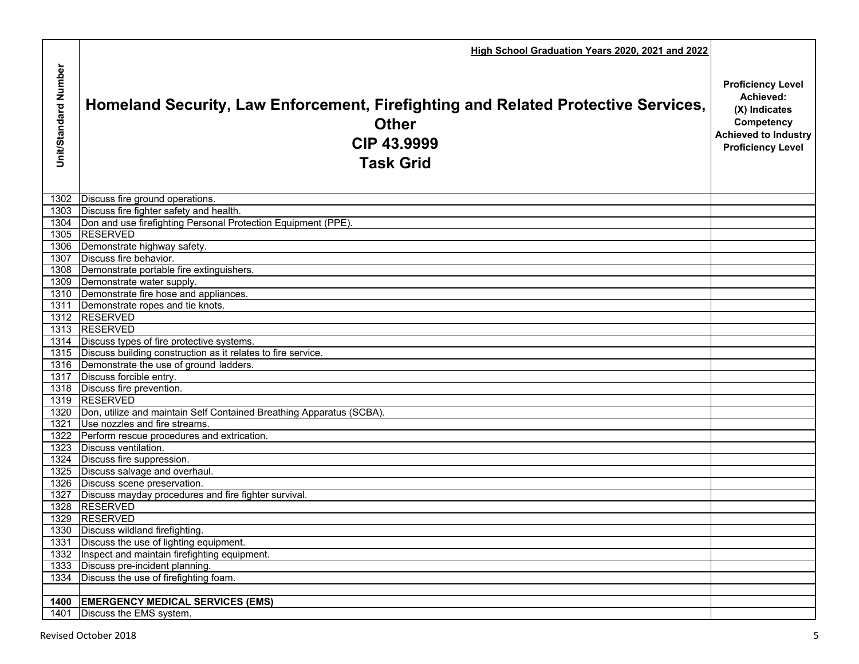|                      | High School Graduation Years 2020, 2021 and 2022                                                                                     |                                                                                                                                 |
|----------------------|--------------------------------------------------------------------------------------------------------------------------------------|---------------------------------------------------------------------------------------------------------------------------------|
| Unit/Standard Number | Homeland Security, Law Enforcement, Firefighting and Related Protective Services,<br><b>Other</b><br>CIP 43,9999<br><b>Task Grid</b> | <b>Proficiency Level</b><br>Achieved:<br>(X) Indicates<br>Competency<br><b>Achieved to Industry</b><br><b>Proficiency Level</b> |
| 1302                 | Discuss fire ground operations.                                                                                                      |                                                                                                                                 |
| 1303                 | Discuss fire fighter safety and health.                                                                                              |                                                                                                                                 |
|                      | 1304 Don and use firefighting Personal Protection Equipment (PPE).                                                                   |                                                                                                                                 |
|                      | 1305 RESERVED                                                                                                                        |                                                                                                                                 |
|                      | 1306 Demonstrate highway safety.                                                                                                     |                                                                                                                                 |
| 1307                 | Discuss fire behavior.                                                                                                               |                                                                                                                                 |
|                      | 1308 Demonstrate portable fire extinguishers.                                                                                        |                                                                                                                                 |
|                      | 1309 Demonstrate water supply.                                                                                                       |                                                                                                                                 |
|                      | 1310 Demonstrate fire hose and appliances.                                                                                           |                                                                                                                                 |
|                      | 1311 Demonstrate ropes and tie knots.                                                                                                |                                                                                                                                 |
|                      | 1312 RESERVED                                                                                                                        |                                                                                                                                 |
|                      | 1313 RESERVED                                                                                                                        |                                                                                                                                 |
|                      | 1314 Discuss types of fire protective systems.                                                                                       |                                                                                                                                 |
|                      | 1315 Discuss building construction as it relates to fire service.                                                                    |                                                                                                                                 |
|                      | 1316 Demonstrate the use of ground ladders.                                                                                          |                                                                                                                                 |
|                      | 1317 Discuss forcible entry.                                                                                                         |                                                                                                                                 |
|                      | 1318 Discuss fire prevention.                                                                                                        |                                                                                                                                 |
|                      | 1319 RESERVED                                                                                                                        |                                                                                                                                 |
|                      | 1320   Don, utilize and maintain Self Contained Breathing Apparatus (SCBA).                                                          |                                                                                                                                 |
|                      | 1321 Use nozzles and fire streams.                                                                                                   |                                                                                                                                 |
|                      | 1322 Perform rescue procedures and extrication.                                                                                      |                                                                                                                                 |
|                      | 1323 Discuss ventilation.                                                                                                            |                                                                                                                                 |
|                      | 1324 Discuss fire suppression.                                                                                                       |                                                                                                                                 |
|                      | 1325 Discuss salvage and overhaul.                                                                                                   |                                                                                                                                 |
|                      | 1326   Discuss scene preservation.                                                                                                   |                                                                                                                                 |
|                      | 1327   Discuss mayday procedures and fire fighter survival.                                                                          |                                                                                                                                 |
|                      | 1328 RESERVED                                                                                                                        |                                                                                                                                 |
|                      | 1329 RESERVED                                                                                                                        |                                                                                                                                 |
|                      | 1330 Discuss wildland firefighting.                                                                                                  |                                                                                                                                 |
|                      | 1331 Discuss the use of lighting equipment.                                                                                          |                                                                                                                                 |
|                      | 1332 Inspect and maintain firefighting equipment.                                                                                    |                                                                                                                                 |
|                      | 1333 Discuss pre-incident planning.                                                                                                  |                                                                                                                                 |
|                      | 1334 Discuss the use of firefighting foam.                                                                                           |                                                                                                                                 |
|                      |                                                                                                                                      |                                                                                                                                 |
| 1400                 | <b>EMERGENCY MEDICAL SERVICES (EMS)</b>                                                                                              |                                                                                                                                 |
| 1401                 | Discuss the EMS system.                                                                                                              |                                                                                                                                 |